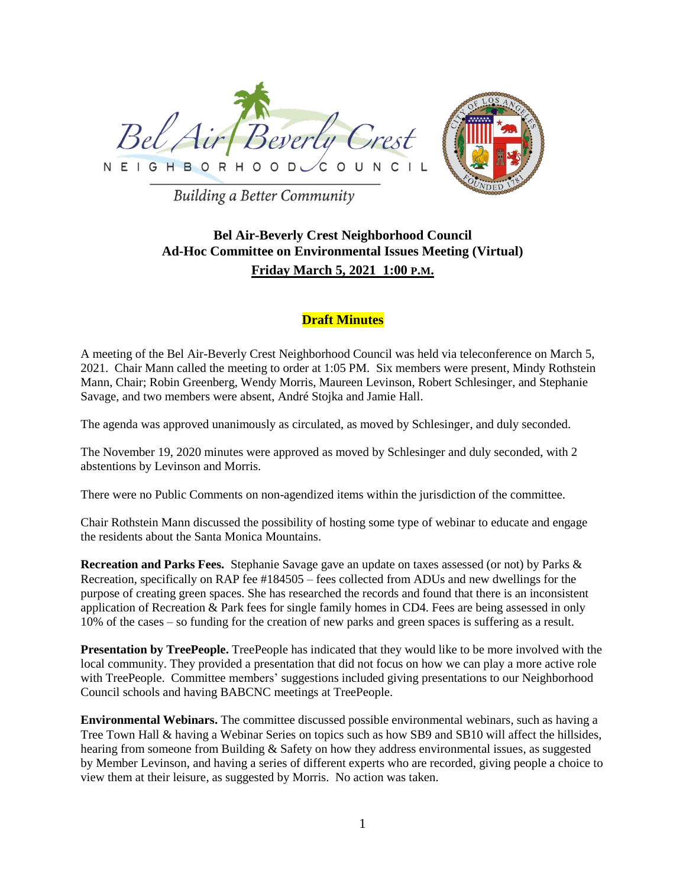



**Building a Better Community** 

## **Bel Air-Beverly Crest Neighborhood Council Ad-Hoc Committee on Environmental Issues Meeting (Virtual) Friday March 5, 2021 1:00 P.M.**

## **Draft Minutes**

A meeting of the Bel Air-Beverly Crest Neighborhood Council was held via teleconference on March 5, 2021. Chair Mann called the meeting to order at 1:05 PM. Six members were present, Mindy Rothstein Mann, Chair; Robin Greenberg, Wendy Morris, Maureen Levinson, Robert Schlesinger, and Stephanie Savage, and two members were absent, André Stojka and Jamie Hall.

The agenda was approved unanimously as circulated, as moved by Schlesinger, and duly seconded.

The November 19, 2020 minutes were approved as moved by Schlesinger and duly seconded, with 2 abstentions by Levinson and Morris.

There were no Public Comments on non-agendized items within the jurisdiction of the committee.

Chair Rothstein Mann discussed the possibility of hosting some type of webinar to educate and engage the residents about the Santa Monica Mountains.

**Recreation and Parks Fees.** Stephanie Savage gave an update on taxes assessed (or not) by Parks & Recreation, specifically on RAP fee #184505 – fees collected from ADUs and new dwellings for the purpose of creating green spaces. She has researched the records and found that there is an inconsistent application of Recreation & Park fees for single family homes in CD4. Fees are being assessed in only 10% of the cases – so funding for the creation of new parks and green spaces is suffering as a result.

**Presentation by TreePeople.** TreePeople has indicated that they would like to be more involved with the local community. They provided a presentation that did not focus on how we can play a more active role with TreePeople. Committee members' suggestions included giving presentations to our Neighborhood Council schools and having BABCNC meetings at TreePeople.

**Environmental Webinars.** The committee discussed possible environmental webinars, such as having a Tree Town Hall & having a Webinar Series on topics such as how SB9 and SB10 will affect the hillsides, hearing from someone from Building & Safety on how they address environmental issues, as suggested by Member Levinson, and having a series of different experts who are recorded, giving people a choice to view them at their leisure, as suggested by Morris. No action was taken.